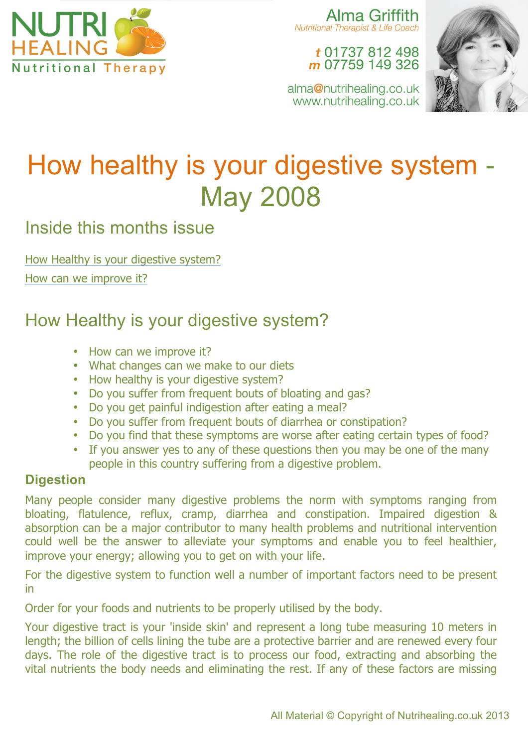

Alma Griffith **Nutritional Therapist & Life Coach** 

> t 01737 812 498 m 07759 149 326

alma@nutrihealing.co.uk www.nutrihealing.co.uk



# How healthy is your digestive system - May 2008

Inside this months issue

How Healthy is your digestive system?

How can we improve it?

# How Healthy is your digestive system?

- How can we improve it?
- What changes can we make to our diets
- How healthy is your digestive system?
- Do you suffer from frequent bouts of bloating and gas?
- Do you get painful indigestion after eating a meal?
- Do you suffer from frequent bouts of diarrhea or constipation?
- Do you find that these symptoms are worse after eating certain types of food?
- If you answer yes to any of these questions then you may be one of the many people in this country suffering from a digestive problem.

## **Digestion**

Many people consider many digestive problems the norm with symptoms ranging from bloating, flatulence, reflux, cramp, diarrhea and constipation. Impaired digestion & absorption can be a major contributor to many health problems and nutritional intervention could well be the answer to alleviate your symptoms and enable you to feel healthier, improve your energy; allowing you to get on with your life.

For the digestive system to function well a number of important factors need to be present in

Order for your foods and nutrients to be properly utilised by the body.

Your digestive tract is your 'inside skin' and represent a long tube measuring 10 meters in length; the billion of cells lining the tube are a protective barrier and are renewed every four days. The role of the digestive tract is to process our food, extracting and absorbing the vital nutrients the body needs and eliminating the rest. If any of these factors are missing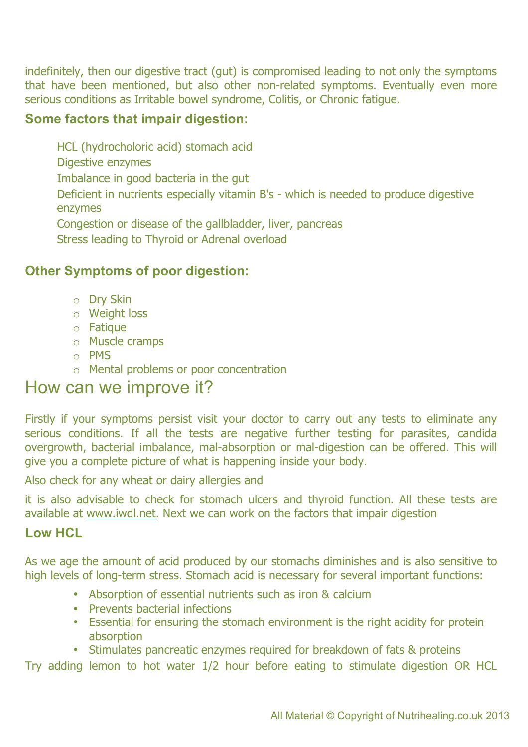indefinitely, then our digestive tract (gut) is compromised leading to not only the symptoms that have been mentioned, but also other non-related symptoms. Eventually even more serious conditions as Irritable bowel syndrome, Colitis, or Chronic fatigue.

#### **Some factors that impair digestion:**

HCL (hydrocholoric acid) stomach acid

Digestive enzymes

Imbalance in good bacteria in the gut

Deficient in nutrients especially vitamin B's - which is needed to produce digestive enzymes

Congestion or disease of the gallbladder, liver, pancreas

Stress leading to Thyroid or Adrenal overload

### **Other Symptoms of poor digestion:**

- o Dry Skin
- o Weight loss
- o Fatique
- o Muscle cramps
- o PMS
- o Mental problems or poor concentration

## How can we improve it?

Firstly if your symptoms persist visit your doctor to carry out any tests to eliminate any serious conditions. If all the tests are negative further testing for parasites, candida overgrowth, bacterial imbalance, mal-absorption or mal-digestion can be offered. This will give you a complete picture of what is happening inside your body.

Also check for any wheat or dairy allergies and

it is also advisable to check for stomach ulcers and thyroid function. All these tests are available at www.iwdl.net. Next we can work on the factors that impair digestion

#### **Low HCL**

As we age the amount of acid produced by our stomachs diminishes and is also sensitive to high levels of long-term stress. Stomach acid is necessary for several important functions:

- Absorption of essential nutrients such as iron & calcium
- Prevents bacterial infections
- Essential for ensuring the stomach environment is the right acidity for protein absorption
- Stimulates pancreatic enzymes required for breakdown of fats & proteins

Try adding lemon to hot water 1/2 hour before eating to stimulate digestion OR HCL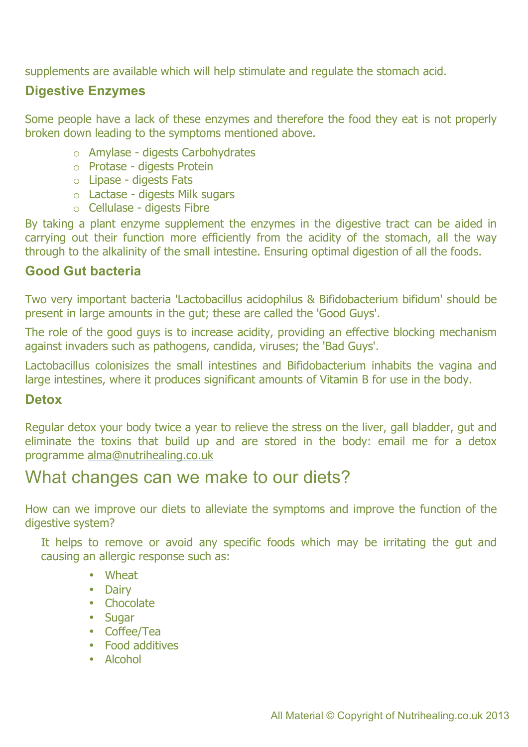supplements are available which will help stimulate and regulate the stomach acid.

#### **Digestive Enzymes**

Some people have a lack of these enzymes and therefore the food they eat is not properly broken down leading to the symptoms mentioned above.

- o Amylase digests Carbohydrates
- o Protase digests Protein
- o Lipase digests Fats
- o Lactase digests Milk sugars
- o Cellulase digests Fibre

By taking a plant enzyme supplement the enzymes in the digestive tract can be aided in carrying out their function more efficiently from the acidity of the stomach, all the way through to the alkalinity of the small intestine. Ensuring optimal digestion of all the foods.

#### **Good Gut bacteria**

Two very important bacteria 'Lactobacillus acidophilus & Bifidobacterium bifidum' should be present in large amounts in the gut; these are called the 'Good Guys'.

The role of the good guys is to increase acidity, providing an effective blocking mechanism against invaders such as pathogens, candida, viruses; the 'Bad Guys'.

Lactobacillus colonisizes the small intestines and Bifidobacterium inhabits the vagina and large intestines, where it produces significant amounts of Vitamin B for use in the body.

#### **Detox**

Regular detox your body twice a year to relieve the stress on the liver, gall bladder, gut and eliminate the toxins that build up and are stored in the body: email me for a detox programme alma@nutrihealing.co.uk

## What changes can we make to our diets?

How can we improve our diets to alleviate the symptoms and improve the function of the digestive system?

It helps to remove or avoid any specific foods which may be irritating the gut and causing an allergic response such as:

- Wheat
- Dairy
- Chocolate
- Sugar
- Coffee/Tea
- Food additives
- Alcohol